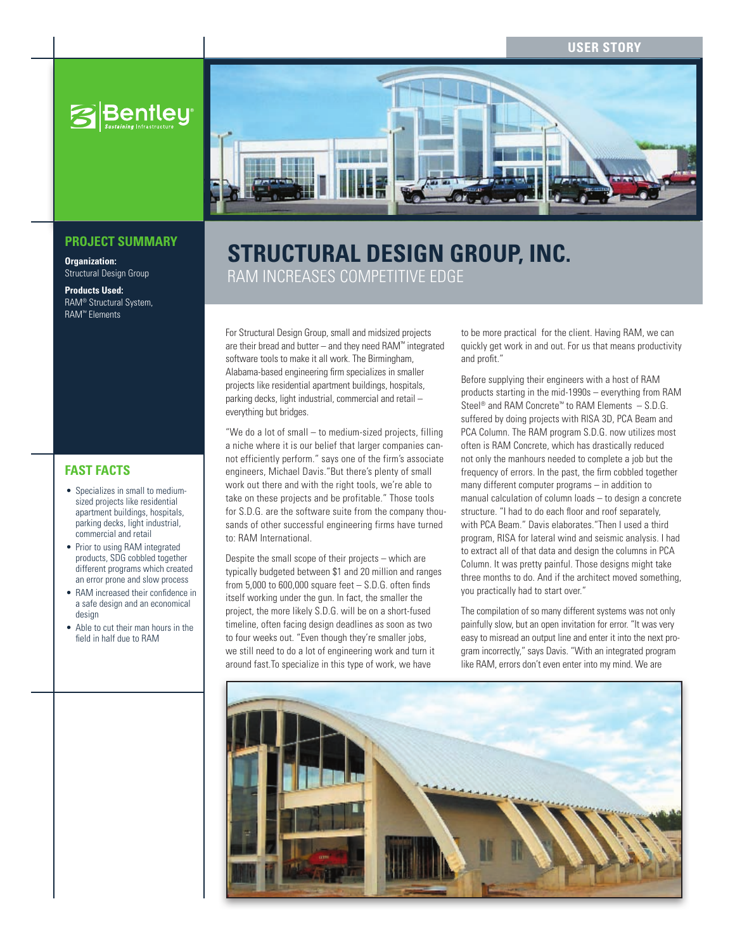

# **Structural Design Group, Inc.** RAM increases competitive edge

For Structural Design Group, small and midsized projects are their bread and butter – and they need RAM™ integrated software tools to make it all work. The Birmingham, Alabama-based engineering firm specializes in smaller projects like residential apartment buildings, hospitals, parking decks, light industrial, commercial and retail – everything but bridges.

"We do a lot of small – to medium-sized projects, filling a niche where it is our belief that larger companies cannot efficiently perform." says one of the firm's associate engineers, Michael Davis."But there's plenty of small work out there and with the right tools, we're able to take on these projects and be profitable." Those tools for S.D.G. are the software suite from the company thousands of other successful engineering firms have turned to: RAM International.

Despite the small scope of their projects – which are typically budgeted between \$1 and 20 million and ranges from 5,000 to 600,000 square feet – S.D.G. often finds itself working under the gun. In fact, the smaller the project, the more likely S.D.G. will be on a short-fused timeline, often facing design deadlines as soon as two to four weeks out. "Even though they're smaller jobs, we still need to do a lot of engineering work and turn it around fast.To specialize in this type of work, we have

to be more practical for the client. Having RAM, we can quickly get work in and out. For us that means productivity and profit."

Before supplying their engineers with a host of RAM products starting in the mid-1990s – everything from RAM Steel® and RAM Concrete™ to RAM Elements – S.D.G. suffered by doing projects with RISA 3D, PCA Beam and PCA Column. The RAM program S.D.G. now utilizes most often is RAM Concrete, which has drastically reduced not only the manhours needed to complete a job but the frequency of errors. In the past, the firm cobbled together many different computer programs – in addition to manual calculation of column loads – to design a concrete structure. "I had to do each floor and roof separately, with PCA Beam." Davis elaborates."Then I used a third program, RISA for lateral wind and seismic analysis. I had to extract all of that data and design the columns in PCA Column. It was pretty painful. Those designs might take three months to do. And if the architect moved something, you practically had to start over."

The compilation of so many different systems was not only painfully slow, but an open invitation for error. "It was very easy to misread an output line and enter it into the next program incorrectly," says Davis. "With an integrated program like RAM, errors don't even enter into my mind. We are



### **PROJECT SUMMARY**

**Organization:**  Structural Design Group

**Products Used:**  RAM® Structural System, RAM™ Elements

## **FAST FACTS**

- Specializes in small to mediumsized projects like residential apartment buildings, hospitals, parking decks, light industrial, commercial and retail
- Prior to using RAM integrated products, SDG cobbled together different programs which created an error prone and slow process
- RAM increased their confidence in a safe design and an economical design
- Able to cut their man hours in the field in half due to RAM